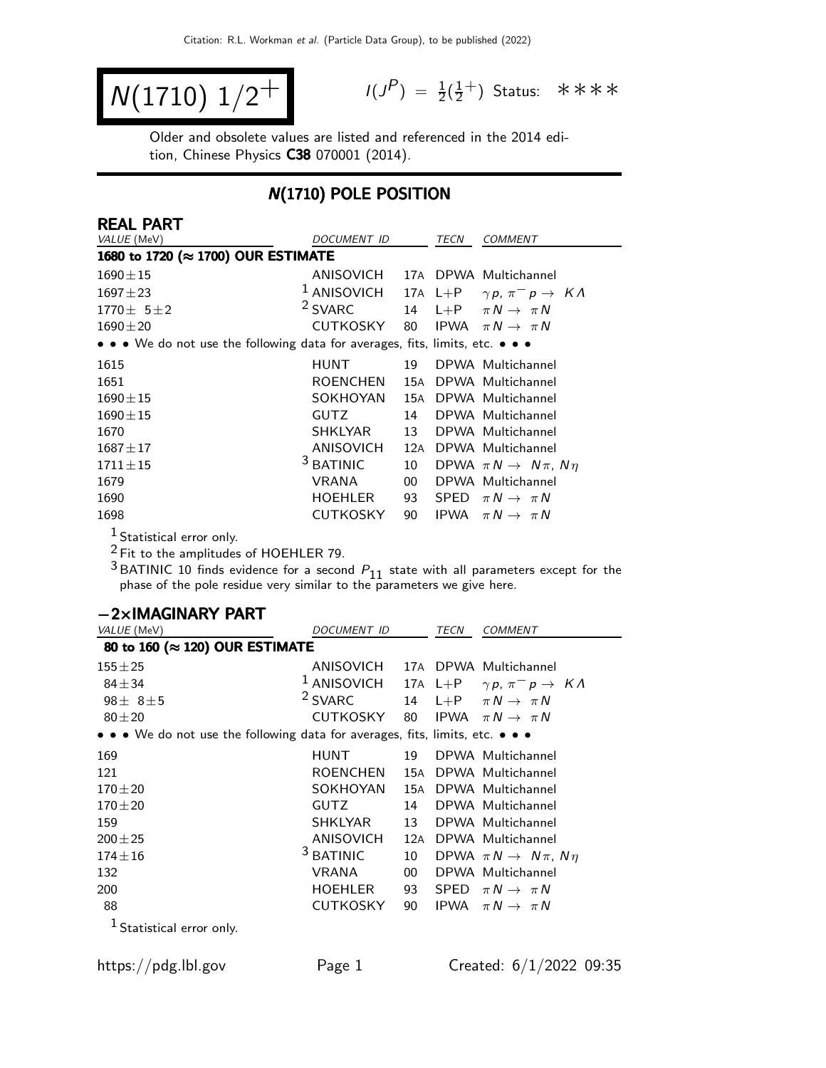$$
N(1710) 1/2^+
$$

 $P$ ) =  $\frac{1}{2}(\frac{1}{2})$  $\frac{1}{2}^+$ ) Status: \*\*\*\*

Older and obsolete values are listed and referenced in the 2014 edition, Chinese Physics C38 070001 (2014).

# N(1710) POLE POSITION

| REAL PART                                                                     |                                 |        |             |                                                   |
|-------------------------------------------------------------------------------|---------------------------------|--------|-------------|---------------------------------------------------|
| VALUE (MeV)                                                                   | <b>DOCUMENT ID</b>              |        | TECN        | <b>COMMENT</b>                                    |
| 1680 to 1720 (≈ 1700) OUR ESTIMATE                                            |                                 |        |             |                                                   |
| $1690 \pm 15$                                                                 | ANISOVICH 17A DPWA Multichannel |        |             |                                                   |
| $1697 \pm 23$                                                                 | $1$ ANISOVICH                   |        |             | 17A L+P $\gamma p, \pi^- p \rightarrow K \Lambda$ |
| $1770 \pm 5 \pm 2$                                                            | <sup>2</sup> SVARC              |        |             | 14 L+P $\pi N \rightarrow \pi N$                  |
| $1690 \pm 20$                                                                 | CUTKOSKY                        | 80     |             | IPWA $\pi N \rightarrow \pi N$                    |
| • • • We do not use the following data for averages, fits, limits, etc. • • • |                                 |        |             |                                                   |
| 1615                                                                          | <b>HUNT</b>                     | 19     |             | DPWA Multichannel                                 |
| 1651                                                                          | ROENCHEN                        | 15A    |             | DPWA Multichannel                                 |
| $1690 + 15$                                                                   | SOKHOYAN                        | 15A    |             | DPWA Multichannel                                 |
| $1690 + 15$                                                                   | <b>GUTZ</b>                     | 14     |             | DPWA Multichannel                                 |
| 1670                                                                          | <b>SHKLYAR</b>                  | 13     |             | DPWA Multichannel                                 |
| $1687 + 17$                                                                   | ANISOVICH                       | 12A    |             | DPWA Multichannel                                 |
| $1711 + 15$                                                                   | <sup>3</sup> BATINIC            | 10     |             | DPWA $\pi N \rightarrow N \pi$ , $N \eta$         |
| 1679                                                                          | <b>VRANA</b>                    | $00\,$ |             | DPWA Multichannel                                 |
| 1690                                                                          | <b>HOEHLER</b>                  | 93     | <b>SPED</b> | $\pi N \rightarrow \pi N$                         |
| 1698                                                                          | <b>CUTKOSKY</b>                 | 90     | IPWA        | $\pi N \rightarrow \pi N$                         |

 $\frac{1}{2}$  Statistical error only.

 $2$  Fit to the amplitudes of HOEHLER 79.

 $^3$ BATINIC 10 finds evidence for a second  $P_{11}$  state with all parameters except for the phase of the pole residue very similar to the parameters we give here.

| $-2\times$ IMAGINARY PART                                                     |                                            |                 |      |                                                                     |
|-------------------------------------------------------------------------------|--------------------------------------------|-----------------|------|---------------------------------------------------------------------|
| VALUE (MeV)                                                                   | DOCUMENT ID                                |                 | TECN | COMMENT                                                             |
| 80 to 160 (≈ 120) OUR ESTIMATE                                                |                                            |                 |      |                                                                     |
| $155 + 25$                                                                    | ANISOVICH 17A DPWA Multichannel            |                 |      |                                                                     |
| $84 + 34$                                                                     |                                            |                 |      | <sup>1</sup> ANISOVICH 17A L+P $\gamma p$ , $\pi^- p \to K \Lambda$ |
| $98 + 8 + 5$                                                                  | <sup>2</sup> SVARC                         |                 |      | 14 L+P $\pi N \rightarrow \pi N$                                    |
| $80 + 20$                                                                     | CUTKOSKY 80 IPWA $\pi N \rightarrow \pi N$ |                 |      |                                                                     |
| • • • We do not use the following data for averages, fits, limits, etc. • • • |                                            |                 |      |                                                                     |
| 169                                                                           | <b>HUNT</b>                                | 19              |      | DPWA Multichannel                                                   |
| 121                                                                           | ROENCHEN                                   | 15A             |      | DPWA Multichannel                                                   |
| $170 + 20$                                                                    | SOKHOYAN                                   | 15A             |      | DPWA Multichannel                                                   |
| $170 + 20$                                                                    | <b>GUTZ</b>                                | 14              |      | DPWA Multichannel                                                   |
| 159                                                                           | SHKLYAR                                    | 13              |      | DPWA Multichannel                                                   |
| $200 \pm 25$                                                                  | ANISOVICH                                  | 12A             |      | DPWA Multichannel                                                   |
| $174 \pm 16$                                                                  | <sup>3</sup> BATINIC                       | 10 <sup>1</sup> |      | DPWA $\pi N \rightarrow N \pi$ , $N \eta$                           |
| 132                                                                           | <b>VRANA</b>                               | 00 <sup>1</sup> |      | DPWA Multichannel                                                   |
| 200                                                                           | HOEHLER                                    | 93              |      | SPED $\pi N \rightarrow \pi N$                                      |
| 88                                                                            | CUTKOSKY                                   | 90              |      | IPWA $\pi N \rightarrow \pi N$                                      |
| Statistical error only.                                                       |                                            |                 |      |                                                                     |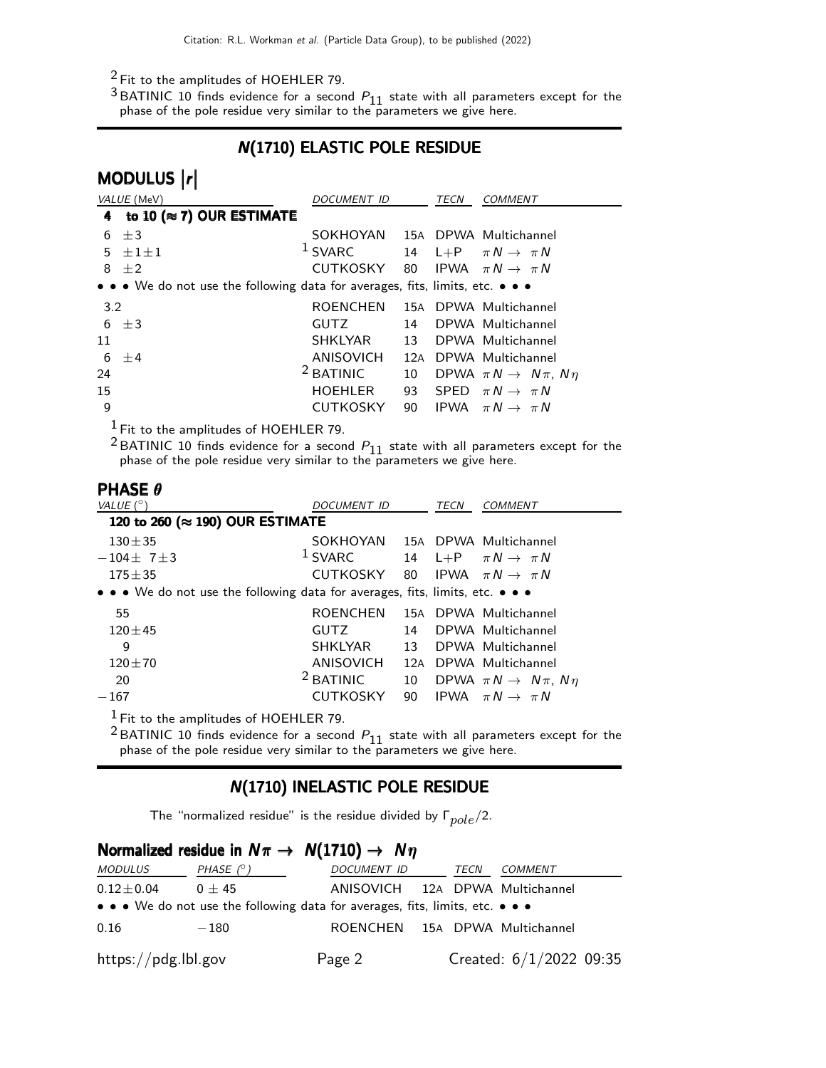### 2 Fit to the amplitudes of HOEHLER 79.

 $^3$ BATINIC 10 finds evidence for a second  $P_{11}$  state with all parameters except for the phase of the pole residue very similar to the parameters we give here.

# N(1710) ELASTIC POLE RESIDUE

|              | MODULUS  r                                                                    |                      |     |      |                                           |
|--------------|-------------------------------------------------------------------------------|----------------------|-----|------|-------------------------------------------|
|              | VALUE (MeV)                                                                   | <i>DOCUMENT ID</i>   |     | TECN | <b>COMMENT</b>                            |
| 4            | to 10 ( $\approx$ 7) OUR ESTIMATE                                             |                      |     |      |                                           |
| 6            | $\pm$ 3                                                                       | <b>SOKHOYAN</b>      |     |      | 15A DPWA Multichannel                     |
| 5            | $\pm 1 \pm 1$                                                                 | <sup>1</sup> SVARC   | 14  |      | L+P $\pi N \rightarrow \pi N$             |
| 8            | $\pm 2$                                                                       | CUTKOSKY 80          |     |      | IPWA $\pi N \rightarrow \pi N$            |
|              | • • • We do not use the following data for averages, fits, limits, etc. • • • |                      |     |      |                                           |
| 3.2          |                                                                               | <b>ROENCHEN</b>      |     |      | 15A DPWA Multichannel                     |
| 6            | $\pm 3$                                                                       | <b>GUTZ</b>          | 14  |      | DPWA Multichannel                         |
| 11           |                                                                               | <b>SHKLYAR</b>       | 13  |      | DPWA Multichannel                         |
| 6            | $+4$                                                                          | ANISOVICH            | 12A |      | DPWA Multichannel                         |
| 24           |                                                                               | <sup>2</sup> BATINIC | 10  |      | DPWA $\pi N \rightarrow N \pi$ , $N \eta$ |
| 15           |                                                                               | <b>HOEHLER</b>       | 93  |      | SPED $\pi N \rightarrow \pi N$            |
| 9            |                                                                               | <b>CUTKOSKY</b>      | 90  |      | IPWA $\pi N \rightarrow \pi N$            |
| $\mathbf{I}$ |                                                                               |                      |     |      |                                           |

 $<sup>1</sup>$  Fit to the amplitudes of HOEHLER 79.</sup>

<sup>2</sup> BATINIC 10 finds evidence for a second  $P_{11}$  state with all parameters except for the phase of the pole residue very similar to the parameters we give here.

#### PHASE θ

| VALUE $(^\circ)$                                                                                                      | <i>DOCUMENT ID</i>             |     | TECN | COMMENT                                   |  |  |  |
|-----------------------------------------------------------------------------------------------------------------------|--------------------------------|-----|------|-------------------------------------------|--|--|--|
| 120 to 260 (≈ 190) OUR ESTIMATE                                                                                       |                                |     |      |                                           |  |  |  |
| $130 + 35$                                                                                                            | SOKHOYAN 15A DPWA Multichannel |     |      |                                           |  |  |  |
| $-104 \pm 7 \pm 3$                                                                                                    | $1$ SVARC                      |     |      | 14 L+P $\pi N \rightarrow \pi N$          |  |  |  |
| $175 \pm 35$                                                                                                          | CUTKOSKY                       |     |      | 80 IPWA $\pi N \rightarrow \pi N$         |  |  |  |
| $\bullet \bullet \bullet$ We do not use the following data for averages, fits, limits, etc. $\bullet \bullet \bullet$ |                                |     |      |                                           |  |  |  |
| 55                                                                                                                    | <b>ROENCHEN</b>                |     |      | 15A DPWA Multichannel                     |  |  |  |
| $120 + 45$                                                                                                            | GUTZ                           | 14  |      | DPWA Multichannel                         |  |  |  |
| 9                                                                                                                     | <b>SHKLYAR</b>                 | 13  |      | DPWA Multichannel                         |  |  |  |
| $120 + 70$                                                                                                            | <b>ANISOVICH</b>               | 12A |      | DPWA Multichannel                         |  |  |  |
| 20                                                                                                                    | <sup>2</sup> BATINIC           | 10  |      | DPWA $\pi N \rightarrow N \pi$ , $N \eta$ |  |  |  |
| $-167$                                                                                                                | <b>CUTKOSKY</b>                | 90  |      | IPWA $\pi N \rightarrow \pi N$            |  |  |  |
| $1$ Fit to the amplitudes of HOEHLER 79.                                                                              |                                |     |      |                                           |  |  |  |

<sup>2</sup> BATINIC 10 finds evidence for a second  $P_{11}$  state with all parameters except for the phase of the pole residue very similar to the parameters we give here.

# N(1710) INELASTIC POLE RESIDUE

The "normalized residue" is the residue divided by  $\Gamma_{mole}/2$ .

| Normalized residue in $N\pi \rightarrow N(1710) \rightarrow N\eta$ |                                                                                                                       |                                 |  |      |                           |  |  |
|--------------------------------------------------------------------|-----------------------------------------------------------------------------------------------------------------------|---------------------------------|--|------|---------------------------|--|--|
| <i>MODULUS</i>                                                     | PHASE (° )                                                                                                            | <i>DOCUMENT ID</i>              |  | TECN | COMMENT                   |  |  |
| $0.12\!\pm\!0.04$                                                  | $0 + 45$                                                                                                              | ANISOVICH 12A DPWA Multichannel |  |      |                           |  |  |
|                                                                    | $\bullet \bullet \bullet$ We do not use the following data for averages, fits, limits, etc. $\bullet \bullet \bullet$ |                                 |  |      |                           |  |  |
| 0.16                                                               | $-180$                                                                                                                | ROENCHEN 15A DPWA Multichannel  |  |      |                           |  |  |
| $\frac{h}{\text{https://pdg.lbl.gov}}$                             |                                                                                                                       | Page 2                          |  |      | Created: $6/1/2022$ 09:35 |  |  |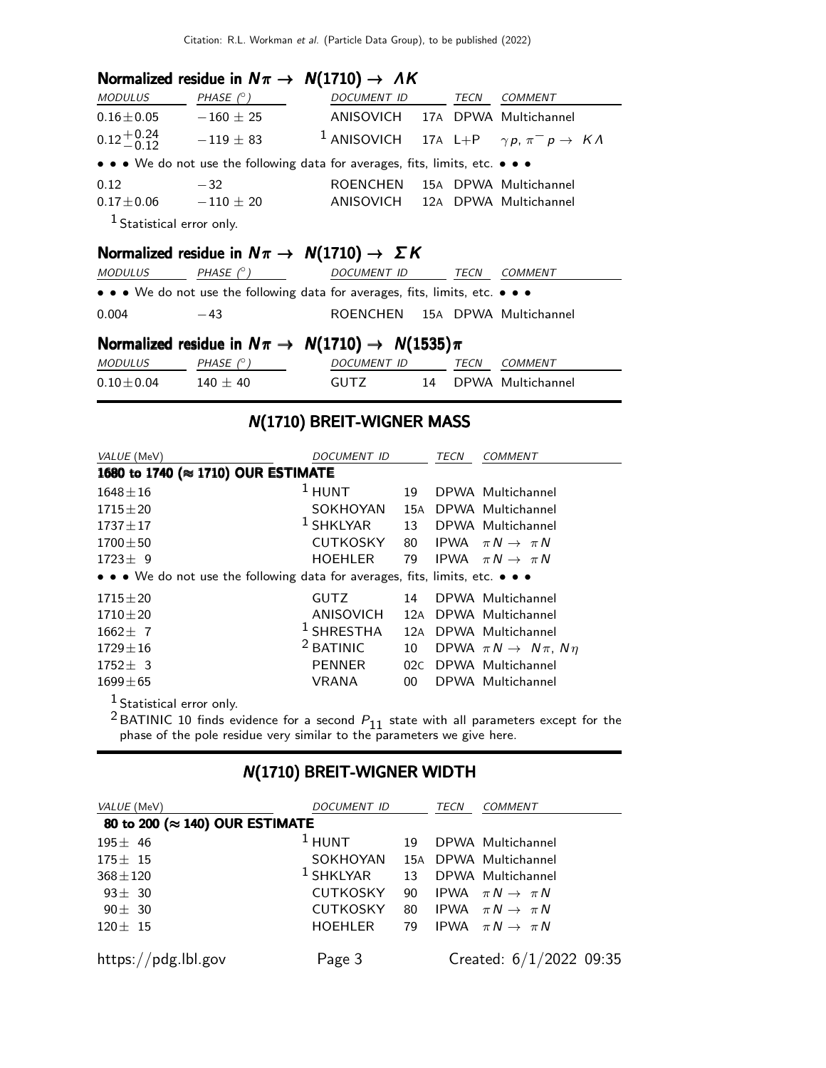# Normalized residue in  $N\pi \rightarrow N(1710) \rightarrow AK$

| <i>MODULUS</i>                | PHASE $(^\circ)$                                                              | <i>DOCUMENT ID</i>                                                  |  | TECN | COMMENT               |  |
|-------------------------------|-------------------------------------------------------------------------------|---------------------------------------------------------------------|--|------|-----------------------|--|
| $0.16 \pm 0.05$               | $-160 \pm 25$                                                                 | ANISOVICH 17A DPWA Multichannel                                     |  |      |                       |  |
| $0.12^{+0.24}_{-0.12}$        | $-119 \pm 83$                                                                 | <sup>1</sup> ANISOVICH 17A L+P $\gamma p$ , $\pi^- p \to K \Lambda$ |  |      |                       |  |
|                               | • • • We do not use the following data for averages, fits, limits, etc. • • • |                                                                     |  |      |                       |  |
| 0.12                          | $-32$                                                                         | <b>ROENCHEN</b>                                                     |  |      | 15A DPWA Multichannel |  |
| $0.17 \pm 0.06$ $-110 \pm 20$ |                                                                               | ANISOVICH 12A DPWA Multichannel                                     |  |      |                       |  |
| $1$ Statistical error only.   |                                                                               |                                                                     |  |      |                       |  |

# Normalized residue in  $N\pi \rightarrow N(1710) \rightarrow \Sigma K$

| <b>MODULUS</b>  | PHASE $(^\circ)$ | DOCUMENT ID                                                                   | TECN | COMMENT           |
|-----------------|------------------|-------------------------------------------------------------------------------|------|-------------------|
|                 |                  | • • • We do not use the following data for averages, fits, limits, etc. • • • |      |                   |
| 0.004           | $-43$            | ROENCHEN 15A DPWA Multichannel                                                |      |                   |
|                 |                  | Normalized residue in $N\pi \rightarrow N(1710) \rightarrow N(1535)\pi$       |      |                   |
| <b>MODULUS</b>  | PHASE $(^\circ)$ | DOCUMENT ID                                                                   | TECN | COMMENT           |
| $0.10 \pm 0.04$ | $140 \pm 40$     | <b>GUTZ</b>                                                                   | 14   | DPWA Multichannel |

### N(1710) BREIT-WIGNER MASS

| VALUE (MeV)                                                                   | <i>DOCUMENT ID</i>    |     | TECN        | COMMENT                                   |  |  |  |
|-------------------------------------------------------------------------------|-----------------------|-----|-------------|-------------------------------------------|--|--|--|
| 1680 to 1740 (≈ 1710) OUR ESTIMATE                                            |                       |     |             |                                           |  |  |  |
| $1648 \pm 16$                                                                 | $1$ HUNT              | 19  |             | DPWA Multichannel                         |  |  |  |
| $1715 \pm 20$                                                                 | SOKHOYAN              | 15A |             | DPWA Multichannel                         |  |  |  |
| $1737 \pm 17$                                                                 | $1$ SHKLYAR           | 13  |             | DPWA Multichannel                         |  |  |  |
| $1700 \pm 50$                                                                 | <b>CUTKOSKY</b>       | 80  | <b>IPWA</b> | $\pi N \rightarrow \pi N$                 |  |  |  |
| $1723 \pm 9$                                                                  | <b>HOEHLER</b>        | 79  |             | IPWA $\pi N \rightarrow \pi N$            |  |  |  |
| • • • We do not use the following data for averages, fits, limits, etc. • • • |                       |     |             |                                           |  |  |  |
| $1715 \pm 20$                                                                 | <b>GUTZ</b>           | 14  |             | DPWA Multichannel                         |  |  |  |
| $1710 + 20$                                                                   | ANISOVICH             | 12A |             | DPWA Multichannel                         |  |  |  |
| $1662 \pm 7$                                                                  | <sup>1</sup> SHRESTHA | 12A |             | DPWA Multichannel                         |  |  |  |
| $1729 + 16$                                                                   | $2$ BATINIC           | 10  |             | DPWA $\pi N \rightarrow N \pi$ , $N \eta$ |  |  |  |
| $1752 \pm 3$                                                                  | <b>PENNER</b>         | 02C |             | DPWA Multichannel                         |  |  |  |
| $1699 \pm 65$                                                                 | VRANA                 | 00  |             | DPWA Multichannel                         |  |  |  |
| $\mathbf 1$                                                                   |                       |     |             |                                           |  |  |  |

 $\frac{1}{2}$  Statistical error only.

<sup>2</sup> BATINIC 10 finds evidence for a second  $P_{11}$  state with all parameters except for the phase of the pole residue very similar to the parameters we give here.

# N(1710) BREIT-WIGNER WIDTH

| VALUE (MeV)                    | DOCUMENT ID     |    | TECN | <b>COMMENT</b>                 |
|--------------------------------|-----------------|----|------|--------------------------------|
| 80 to 200 (≈ 140) OUR ESTIMATE |                 |    |      |                                |
| $195 \pm 46$                   | $1$ HUNT        | 19 |      | DPWA Multichannel              |
| $175 \pm 15$                   | SOKHOYAN        |    |      | 15A DPWA Multichannel          |
| $368 \pm 120$                  | $^1$ SHKLYAR    | 13 |      | DPWA Multichannel              |
| $93 \pm 30$                    | <b>CUTKOSKY</b> | 90 |      | IPWA $\pi N \rightarrow \pi N$ |
| $90 \pm 30$                    | <b>CUTKOSKY</b> | 80 |      | IPWA $\pi N \rightarrow \pi N$ |
| $120 \pm 15$                   | <b>HOEHLER</b>  | 79 |      | IPWA $\pi N \rightarrow \pi N$ |
| https://pdg.lbl.gov            | Page 3          |    |      | Created: $6/1/2022$ 09:35      |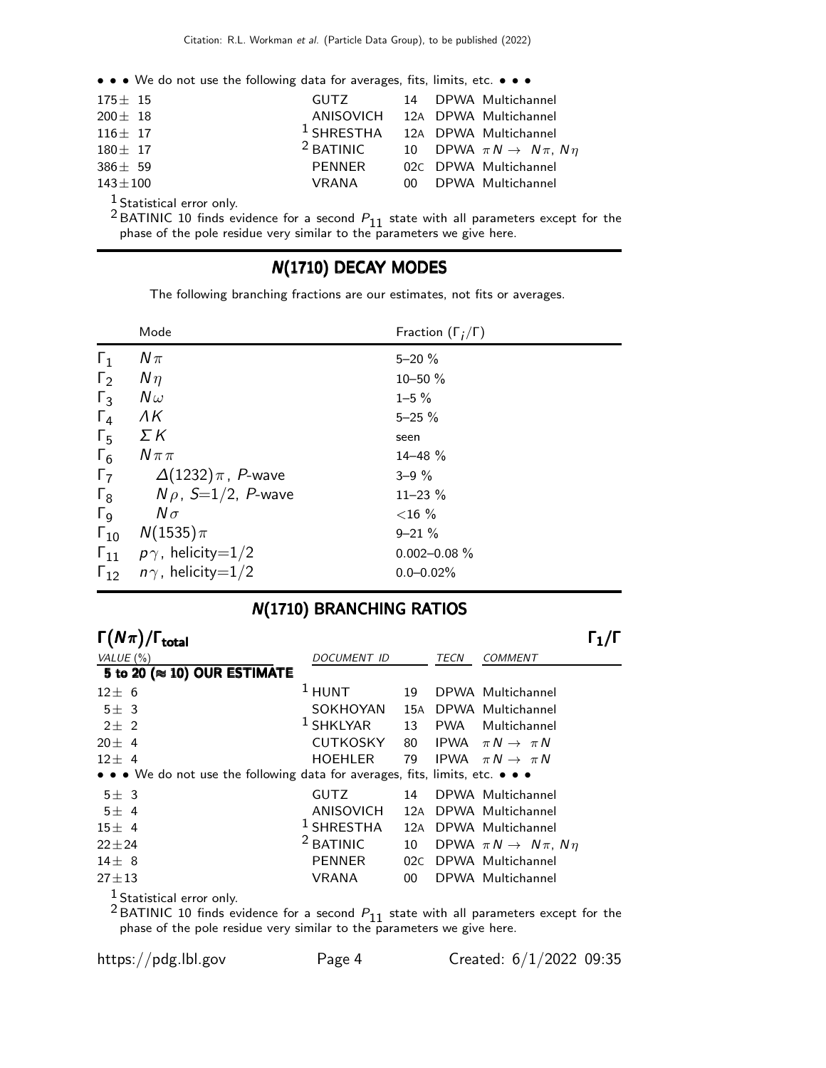• • • We do not use the following data for averages, fits, limits, etc. • • •

| $175 \pm 15$  | GUTZ                                        | 14 DPWA Multichannel                         |
|---------------|---------------------------------------------|----------------------------------------------|
| $200 \pm 18$  | ANISOVICH 12A DPWA Multichannel             |                                              |
| $116 \pm 17$  | <sup>1</sup> SHRESTHA 12A DPWA Multichannel |                                              |
| $180 \pm 17$  | $2$ BATINIC                                 | 10 DPWA $\pi N \rightarrow N \pi$ , $N \eta$ |
| $386 \pm 59$  | PENNER                                      | 02C DPWA Multichannel                        |
| $143 \pm 100$ | VRANA                                       | 00 DPWA Multichannel                         |
|               |                                             |                                              |

1 Statistical error only.

<sup>2</sup> BATINIC 10 finds evidence for a second  $P_{11}$  state with all parameters except for the phase of the pole residue very similar to the parameters we give here.

# N(1710) DECAY MODES

The following branching fractions are our estimates, not fits or averages.

|                       | Mode                            | Fraction $(\Gamma_i/\Gamma)$ |
|-----------------------|---------------------------------|------------------------------|
| $\Gamma_1$            | $N\pi$                          | $5 - 20 \%$                  |
| $\Gamma_2$            | $N\eta$                         | $10 - 50 \%$                 |
| $\Gamma_3$            | $N\omega$                       | $1 - 5 \%$                   |
| $\Gamma_4$            | ΛK                              | $5 - 25 \%$                  |
| $\Gamma_5$            | ΣΚ                              | seen                         |
| $\Gamma_6$            | $N \pi \pi$                     | $14 - 48 \%$                 |
| $\Gamma_7$            | $\Delta(1232)\,\pi$ , P-wave    | $3 - 9\%$                    |
| $\Gamma_8$            | $N \rho$ , S=1/2, P-wave        | $11 - 23 \%$                 |
| $\Gamma_{\mathsf{Q}}$ | $N\sigma$                       | ${<}16\%$                    |
| $\Gamma_{10}$         | $N(1535)\pi$                    | $9 - 21 \%$                  |
| $\mathsf{F}_{11}$     | $\rho\gamma$ , helicity $=$ 1/2 | $0.002 - 0.08 \%$            |
| $\Gamma_{12}$         | $n\gamma$ , helicity=1/2        | $0.0 - 0.02\%$               |

# N(1710) BRANCHING RATIOS

| $\Gamma(N\pi)/$<br>total                                                      |                 |      |            |                                           |  |
|-------------------------------------------------------------------------------|-----------------|------|------------|-------------------------------------------|--|
| VALUE $(\%)$                                                                  | DOCUMENT ID     | TECN |            | <b>COMMENT</b>                            |  |
| 5 to 20 ( $\approx$ 10) OUR ESTIMATE                                          |                 |      |            |                                           |  |
| $12 \pm 6$                                                                    | $1$ HUNT        | 19   |            | DPWA Multichannel                         |  |
| $5\pm$ 3                                                                      | SOKHOYAN        |      |            | 15A DPWA Multichannel                     |  |
| $2+2$                                                                         | $1$ SHKLYAR     | 13   | <b>PWA</b> | Multichannel                              |  |
| $20 \pm 4$                                                                    | <b>CUTKOSKY</b> | 80   |            | IPWA $\pi N \rightarrow \pi N$            |  |
| $12 \pm 4$                                                                    | <b>HOEHLER</b>  | 79   |            | IPWA $\pi N \rightarrow \pi N$            |  |
| • • • We do not use the following data for averages, fits, limits, etc. • • • |                 |      |            |                                           |  |
| $5\pm$ 3                                                                      | <b>GUTZ</b>     | 14   |            | DPWA Multichannel                         |  |
| 5±4                                                                           | ANISOVICH       | 12A  |            | DPWA Multichannel                         |  |
| 15±4                                                                          | $1$ SHRESTHA    | 12A  |            | DPWA Multichannel                         |  |
| $22 + 24$                                                                     | $2$ BATINIC     | 10   |            | DPWA $\pi N \rightarrow N \pi$ , $N \eta$ |  |
| $14 + 8$                                                                      | <b>PENNER</b>   | 02C  |            | DPWA Multichannel                         |  |
| $27 + 13$                                                                     | <b>VRANA</b>    | 00   |            | DPWA Multichannel                         |  |
| <sup>1</sup> Statistical error only.                                          |                 |      |            |                                           |  |

<sup>2</sup> BATINIC 10 finds evidence for a second  $P_{11}$  state with all parameters except for the phase of the pole residue very similar to the parameters we give here.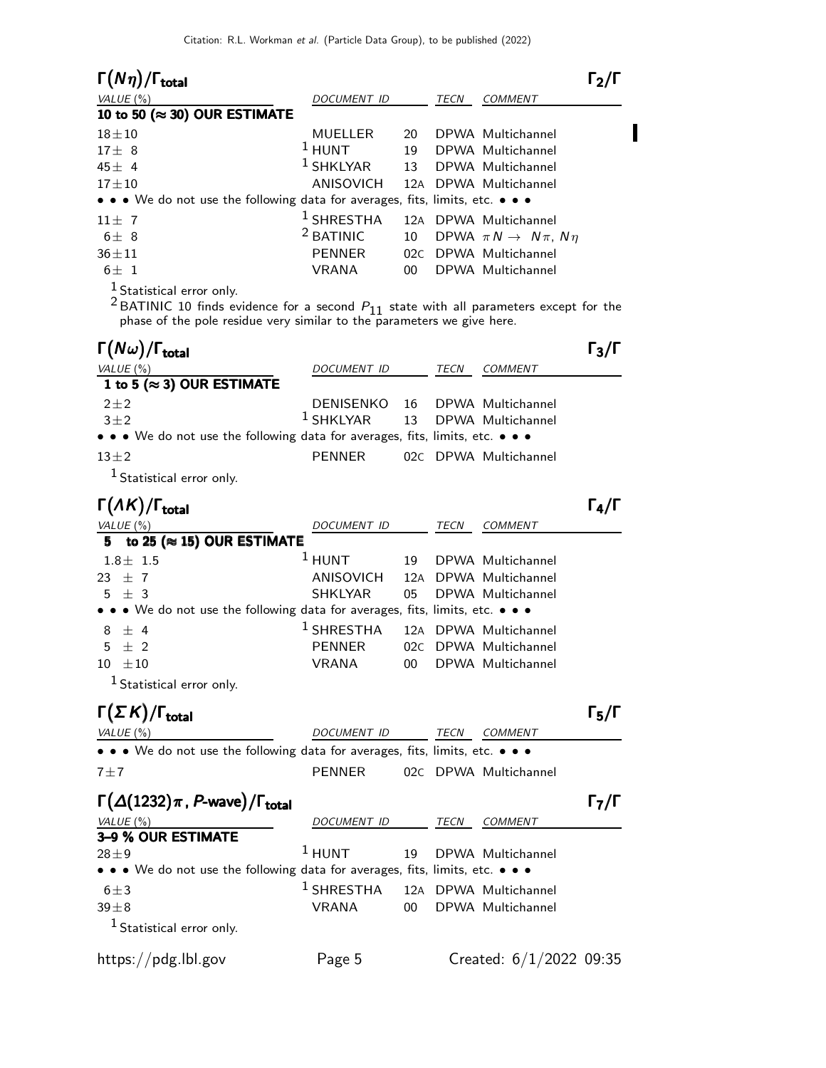| $\Gamma(N\eta)/\Gamma_{\rm total}$                                                                                                                                                                     |                       |          |      |                                           | $\Gamma_2/\Gamma$ |
|--------------------------------------------------------------------------------------------------------------------------------------------------------------------------------------------------------|-----------------------|----------|------|-------------------------------------------|-------------------|
| VALUE $(%)$                                                                                                                                                                                            | DOCUMENT ID           |          | TECN | <b>COMMENT</b>                            |                   |
| 10 to 50 (≈ 30) OUR ESTIMATE                                                                                                                                                                           |                       |          |      |                                           |                   |
| $18 + 10$                                                                                                                                                                                              | MUELLER<br>$1$ HUNT   | 20<br>19 |      | DPWA Multichannel                         |                   |
| $17 \pm 8$<br>$45 \pm 4$                                                                                                                                                                               | $1$ SHKLYAR           | 13       |      | DPWA Multichannel<br>DPWA Multichannel    |                   |
| $17 + 10$                                                                                                                                                                                              | ANISOVICH             | 12A      |      | DPWA Multichannel                         |                   |
| • • We do not use the following data for averages, fits, limits, etc. • • •                                                                                                                            |                       |          |      |                                           |                   |
| $11 \pm 7$                                                                                                                                                                                             | $^1$ SHRESTHA         |          |      | 12A DPWA Multichannel                     |                   |
| $6\pm$ 8                                                                                                                                                                                               | <sup>2</sup> BATINIC  | 10       |      | DPWA $\pi N \rightarrow N \pi$ , $N \eta$ |                   |
| $36 + 11$                                                                                                                                                                                              | <b>PENNER</b>         |          |      | 02C DPWA Multichannel                     |                   |
| $6\pm 1$                                                                                                                                                                                               | <b>VRANA</b>          | 00       |      | DPWA Multichannel                         |                   |
| $1$ Statistical error only.<br>$^2$ BATINIC 10 finds evidence for a second $P_{11}$ state with all parameters except for the<br>phase of the pole residue very similar to the parameters we give here. |                       |          |      |                                           |                   |
| $\Gamma(N\omega)/\Gamma_{\rm total}$                                                                                                                                                                   |                       |          |      |                                           | $\Gamma_3/\Gamma$ |
| <u>VALUE (%)</u>                                                                                                                                                                                       | DOCUMENT ID           |          | TECN | <b>COMMENT</b>                            |                   |
| 1 to 5 ( $\approx$ 3) OUR ESTIMATE                                                                                                                                                                     |                       |          |      |                                           |                   |
| $2 + 2$                                                                                                                                                                                                | DENISENKO             | 16       |      | DPWA Multichannel                         |                   |
| $3\pm2$                                                                                                                                                                                                | $1$ SHKLYAR           | 13       |      | DPWA Multichannel                         |                   |
| $\bullet\,\bullet\,\bullet\,$ We do not use the following data for averages, fits, limits, etc. $\bullet\,\bullet\,\bullet\,\bullet$                                                                   |                       |          |      |                                           |                   |
| $13 \pm 2$                                                                                                                                                                                             | <b>PENNER</b>         |          |      | 02C DPWA Multichannel                     |                   |
| <sup>1</sup> Statistical error only.                                                                                                                                                                   |                       |          |      |                                           |                   |
| $\Gamma(\Lambda K)/\Gamma_{\rm total}$                                                                                                                                                                 |                       |          |      |                                           | $\Gamma_4/\Gamma$ |
| VALUE (%)<br>to 25 ( $\approx$ 15) OUR ESTIMATE<br>5                                                                                                                                                   | DOCUMENT ID           |          | TECN | COMMENT                                   |                   |
| $1.8 \pm 1.5$                                                                                                                                                                                          | $1$ HUNT              | 19       |      | DPWA Multichannel                         |                   |
| $\pm$ 7<br>23                                                                                                                                                                                          | ANISOVICH             |          |      | 12A DPWA Multichannel                     |                   |
| $\pm$ 3<br>5                                                                                                                                                                                           | <b>SHKLYAR</b>        | 05       |      | DPWA Multichannel                         |                   |
| • We do not use the following data for averages, fits, limits, etc. • • •                                                                                                                              |                       |          |      |                                           |                   |
| $±$ 4<br>8                                                                                                                                                                                             | $1$ SHRESTHA          | 12A      |      | DPWA Multichannel                         |                   |
| $\pm$ 2<br>5                                                                                                                                                                                           | <b>PENNER</b>         | 02C      |      | DPWA Multichannel                         |                   |
| $10 \pm 10$                                                                                                                                                                                            | VRANA                 | 00       |      | DPWA Multichannel                         |                   |
| <sup>1</sup> Statistical error only.                                                                                                                                                                   |                       |          |      |                                           |                   |
| $\Gamma(\Sigma K)/\Gamma_{\rm total}$                                                                                                                                                                  |                       |          |      |                                           | $\Gamma_5/\Gamma$ |
| VALUE (%)                                                                                                                                                                                              | DOCUMENT ID           |          | TECN | <b>COMMENT</b>                            |                   |
| • • We do not use the following data for averages, fits, limits, etc. • • •                                                                                                                            |                       |          |      |                                           |                   |
| $7 + 7$                                                                                                                                                                                                | <b>PENNER</b>         |          |      | 02C DPWA Multichannel                     |                   |
| $\Gamma(\Delta(1232)\pi, P$ -wave)/ $\Gamma_{\rm total}$                                                                                                                                               |                       |          |      |                                           | $\Gamma_7/\Gamma$ |
|                                                                                                                                                                                                        |                       |          | TECN | <b>COMMENT</b>                            |                   |
| VALUE (%)<br>3-9 % OUR ESTIMATE                                                                                                                                                                        | DOCUMENT ID           |          |      |                                           |                   |
| $28 + 9$                                                                                                                                                                                               | $1$ HUNT              | 19       |      | DPWA Multichannel                         |                   |
| $\bullet\,\bullet\,\bullet$ We do not use the following data for averages, fits, limits, etc. $\bullet\,\bullet\,\bullet$                                                                              |                       |          |      |                                           |                   |
| $6 \pm 3$                                                                                                                                                                                              | <sup>1</sup> SHRESTHA |          |      | 12A DPWA Multichannel                     |                   |
| $39\pm8$                                                                                                                                                                                               | <b>VRANA</b>          | 00       |      | DPWA Multichannel                         |                   |
| <sup>1</sup> Statistical error only.                                                                                                                                                                   |                       |          |      |                                           |                   |
| https://pdg.lbl.gov                                                                                                                                                                                    | Page 5                |          |      | Created: $6/1/2022$ 09:35                 |                   |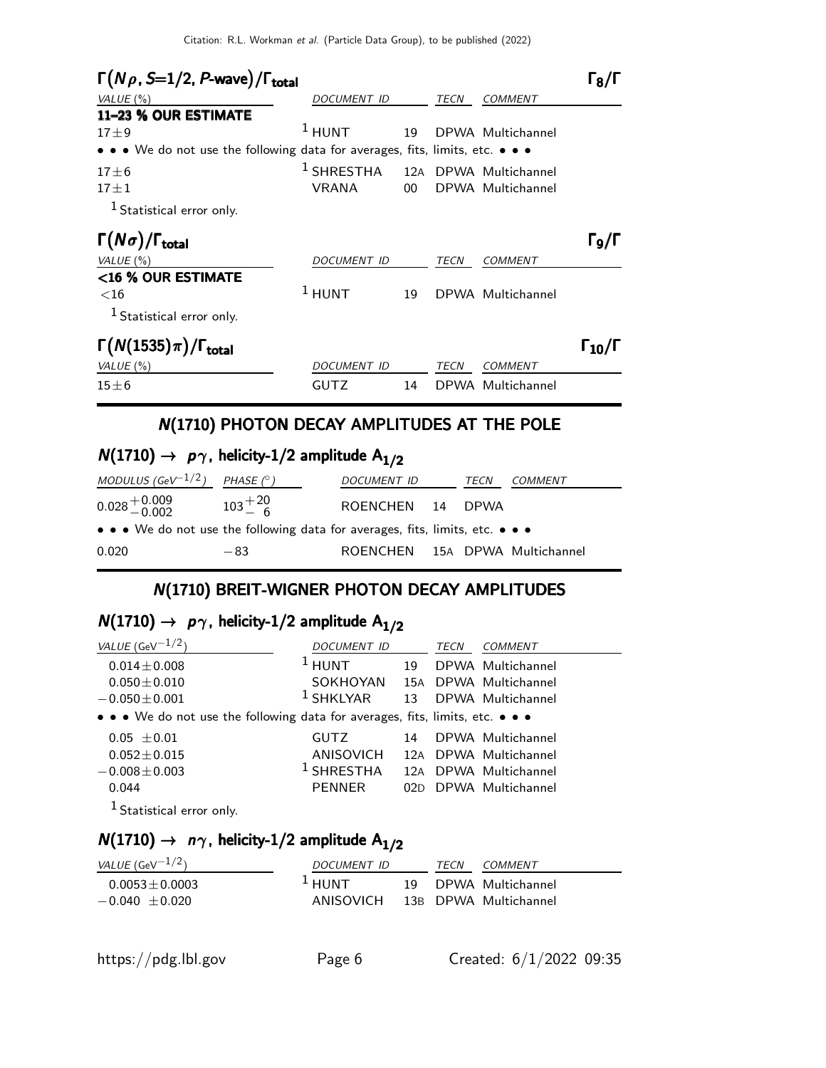| $\Gamma(N\rho, S=1/2, P$ -wave)/ $\Gamma_{\text{total}}$                                                              |                    |                 |      |                       | ו/גּ ו         |
|-----------------------------------------------------------------------------------------------------------------------|--------------------|-----------------|------|-----------------------|----------------|
| VALUE $(\%)$                                                                                                          | DOCUMENT ID        |                 |      | <b>COMMENT</b>        |                |
| 11-23 % OUR ESTIMATE                                                                                                  |                    |                 |      |                       |                |
| $17 + 9$                                                                                                              | $1$ HUNT           | 19              |      | DPWA Multichannel     |                |
| $\bullet \bullet \bullet$ We do not use the following data for averages, fits, limits, etc. $\bullet \bullet \bullet$ |                    |                 |      |                       |                |
| $17 \pm 6$                                                                                                            | $1$ SHRESTHA       |                 |      | 12A DPWA Multichannel |                |
| $17 + 1$                                                                                                              | <b>VRANA</b>       | 00 <sup>1</sup> |      | DPWA Multichannel     |                |
| $1$ Statistical error only.                                                                                           |                    |                 |      |                       |                |
| $\Gamma(N\sigma)/\Gamma_{\rm total}$                                                                                  |                    |                 |      |                       | ا/و ا          |
| VALUE (%)                                                                                                             | <b>DOCUMENT ID</b> |                 | TECN | COMMENT               |                |
| <16 % OUR ESTIMATE                                                                                                    |                    |                 |      |                       |                |
| ${<}16$                                                                                                               | $1$ HUNT           | 19              |      | DPWA Multichannel     |                |
| <sup>1</sup> Statistical error only.                                                                                  |                    |                 |      |                       |                |
| $\Gamma(N(1535)\pi)/\Gamma_{\rm total}$                                                                               |                    |                 |      |                       | $\Gamma_{10}/$ |
| VALUE $(\%)$                                                                                                          | <i>DOCUMENT ID</i> |                 | TECN | <b>COMMENT</b>        |                |
| $15\pm 6$                                                                                                             | <b>GUTZ</b>        | 14              |      | DPWA Multichannel     |                |

# N(1710) PHOTON DECAY AMPLITUDES AT THE POLE

# $N(1710) \rightarrow p\gamma$ , helicity-1/2 amplitude  $A_{1/2}$

| MODULUS (GeV $^{-1/2}$ ) PHASE ( $^{\circ}$ )                                 |                  | DOCUMENT ID                    | TECN | COMMENT |
|-------------------------------------------------------------------------------|------------------|--------------------------------|------|---------|
| $0.028\genfrac{}{}{0pt}{}{+0.009}{-0.002}$                                    | $103^{+20}_{-6}$ | ROENCHEN 14 DPWA               |      |         |
| • • • We do not use the following data for averages, fits, limits, etc. • • • |                  |                                |      |         |
| 0.020                                                                         | $-83$            | ROENCHEN 15A DPWA Multichannel |      |         |

# N(1710) BREIT-WIGNER PHOTON DECAY AMPLITUDES

# $N(1710) \rightarrow p\gamma$ , helicity-1/2 amplitude A<sub>1/2</sub>

| VALUE (GeV $^{-1/2}$ )                                                        | DOCUMENT ID      |    | TECN | <b>COMMENT</b>        |
|-------------------------------------------------------------------------------|------------------|----|------|-----------------------|
| $0.014 \pm 0.008$                                                             | $1$ HUNT         | 19 |      | DPWA Multichannel     |
| $0.050 \pm 0.010$                                                             | SOKHOYAN         |    |      | 15A DPWA Multichannel |
| $-0.050 \pm 0.001$                                                            | $1$ SHKLYAR      | 13 |      | DPWA Multichannel     |
| • • • We do not use the following data for averages, fits, limits, etc. • • • |                  |    |      |                       |
| $0.05 \pm 0.01$                                                               | <b>GUTZ</b>      | 14 |      | DPWA Multichannel     |
| $0.052 \pm 0.015$                                                             | <b>ANISOVICH</b> |    |      | 12A DPWA Multichannel |
| $-0.008 \pm 0.003$                                                            | $1$ SHRESTHA     |    |      | 12A DPWA Multichannel |
| 0.044                                                                         | <b>PENNER</b>    |    |      | 02D DPWA Multichannel |
| <sup>1</sup> Statistical error only.                                          |                  |    |      |                       |

# $N(1710) \rightarrow n\gamma$ , helicity-1/2 amplitude A<sub>1/2</sub>

| <i>VALUE</i> (GeV $^{-1/2}$ )         | DOCUMENT ID             | <b>TFCN</b> | COMMENT                                       |
|---------------------------------------|-------------------------|-------------|-----------------------------------------------|
| $0.0053 + 0.0003$<br>$-0.040 + 0.020$ | $\pm$ HUNT<br>ANISOVICH |             | 19 DPWA Multichannel<br>13B DPWA Multichannel |